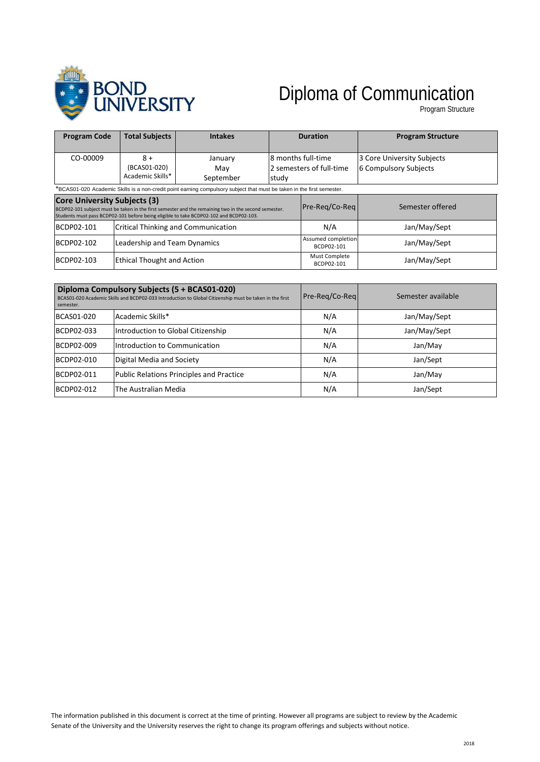

# Diploma of Communication

Program Structure

| <b>Program Code</b>                                                                                                    | <b>Total Subjects</b>                    | <b>Intakes</b>                                                                                                                                                                                 |                                                          | <b>Duration</b>                  | <b>Program Structure</b>                            |
|------------------------------------------------------------------------------------------------------------------------|------------------------------------------|------------------------------------------------------------------------------------------------------------------------------------------------------------------------------------------------|----------------------------------------------------------|----------------------------------|-----------------------------------------------------|
| CO-00009                                                                                                               | $8+$<br>(BCAS01-020)<br>Academic Skills* | January<br>Mav<br>September                                                                                                                                                                    | l8 months full-time<br>2 semesters of full-time<br>study |                                  | 3 Core University Subjects<br>6 Compulsory Subjects |
| *BCAS01-020 Academic Skills is a non-credit point earning compulsory subject that must be taken in the first semester. |                                          |                                                                                                                                                                                                |                                                          |                                  |                                                     |
| <b>Core University Subjects (3)</b>                                                                                    |                                          | BCDP02-101 subject must be taken in the first semester and the remaining two in the second semester.<br>Students must pass BCDP02-101 before being eligible to take BCDP02-102 and BCDP02-103. |                                                          | Pre-Reg/Co-Reg                   | Semester offered                                    |
| <b>BCDP02-101</b>                                                                                                      |                                          | <b>Critical Thinking and Communication</b>                                                                                                                                                     |                                                          | N/A                              | Jan/May/Sept                                        |
| <b>BCDP02-102</b>                                                                                                      | Leadership and Team Dynamics             |                                                                                                                                                                                                |                                                          | Assumed completion<br>BCDP02-101 | Jan/May/Sept                                        |
| <b>BCDP02-103</b>                                                                                                      | <b>Ethical Thought and Action</b>        |                                                                                                                                                                                                |                                                          | Must Complete<br>BCDP02-101      | Jan/May/Sept                                        |

| semester.  | Diploma Compulsory Subjects (5 + BCAS01-020)<br>BCAS01-020 Academic Skills and BCDP02-033 Introduction to Global Citizenship must be taken in the first | Pre-Reg/Co-Reg | Semester available |
|------------|---------------------------------------------------------------------------------------------------------------------------------------------------------|----------------|--------------------|
| BCAS01-020 | Academic Skills*                                                                                                                                        | N/A            | Jan/May/Sept       |
| BCDP02-033 | Introduction to Global Citizenship                                                                                                                      | N/A            | Jan/May/Sept       |
| BCDP02-009 | Introduction to Communication                                                                                                                           | N/A            | Jan/May            |
| BCDP02-010 | Digital Media and Society                                                                                                                               | N/A            | Jan/Sept           |
| BCDP02-011 | Public Relations Principles and Practice                                                                                                                | N/A            | Jan/May            |
| BCDP02-012 | The Australian Media                                                                                                                                    | N/A            | Jan/Sept           |